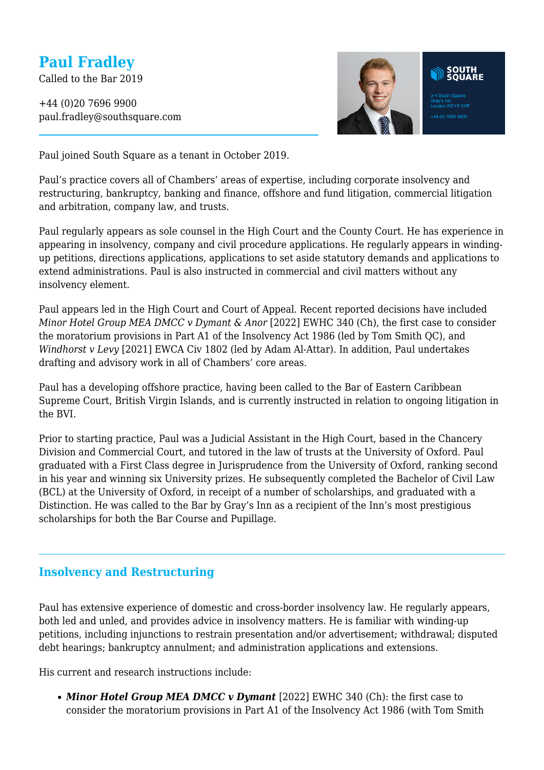# **Paul Fradley**

Called to the Bar 2019

+44 (0)20 7696 9900 paul.fradley@southsquare.com



Paul joined South Square as a tenant in October 2019.

Paul's practice covers all of Chambers' areas of expertise, including corporate insolvency and restructuring, bankruptcy, banking and finance, offshore and fund litigation, commercial litigation and arbitration, company law, and trusts.

Paul regularly appears as sole counsel in the High Court and the County Court. He has experience in appearing in insolvency, company and civil procedure applications. He regularly appears in windingup petitions, directions applications, applications to set aside statutory demands and applications to extend administrations. Paul is also instructed in commercial and civil matters without any insolvency element.

Paul appears led in the High Court and Court of Appeal. Recent reported decisions have included *Minor Hotel Group MEA DMCC v Dymant & Anor* [2022] EWHC 340 (Ch), the first case to consider the moratorium provisions in Part A1 of the Insolvency Act 1986 (led by Tom Smith QC), and *Windhorst v Levy* [2021] EWCA Civ 1802 (led by Adam Al-Attar). In addition, Paul undertakes drafting and advisory work in all of Chambers' core areas.

Paul has a developing offshore practice, having been called to the Bar of Eastern Caribbean Supreme Court, British Virgin Islands, and is currently instructed in relation to ongoing litigation in the BVI.

Prior to starting practice, Paul was a Judicial Assistant in the High Court, based in the Chancery Division and Commercial Court, and tutored in the law of trusts at the University of Oxford. Paul graduated with a First Class degree in Jurisprudence from the University of Oxford, ranking second in his year and winning six University prizes. He subsequently completed the Bachelor of Civil Law (BCL) at the University of Oxford, in receipt of a number of scholarships, and graduated with a Distinction. He was called to the Bar by Gray's Inn as a recipient of the Inn's most prestigious scholarships for both the Bar Course and Pupillage.

#### **Insolvency and Restructuring**

Paul has extensive experience of domestic and cross-border insolvency law. He regularly appears, both led and unled, and provides advice in insolvency matters. He is familiar with winding-up petitions, including injunctions to restrain presentation and/or advertisement; withdrawal; disputed debt hearings; bankruptcy annulment; and administration applications and extensions.

His current and research instructions include:

• **Minor Hotel Group MEA DMCC v Dymant** [2022] EWHC 340 (Ch): the first case to consider the moratorium provisions in Part A1 of the Insolvency Act 1986 (with Tom Smith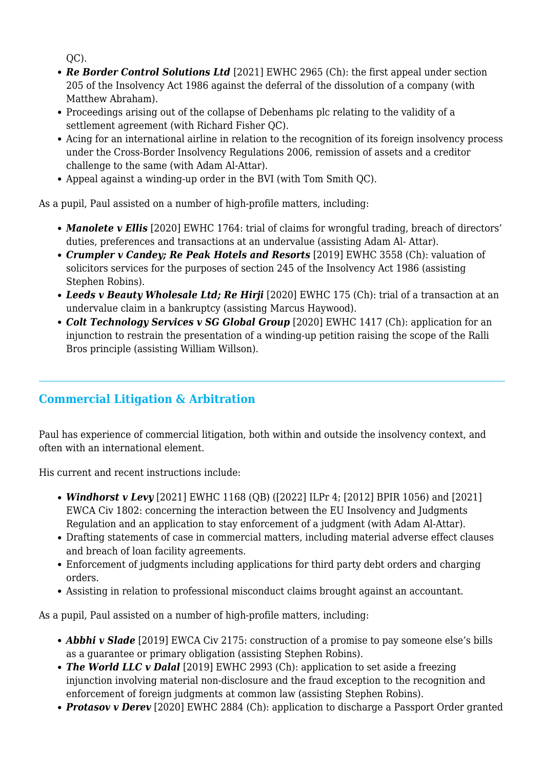$OC$ ).

- *Re Border Control Solutions Ltd* [2021] EWHC 2965 (Ch): the first appeal under section 205 of the Insolvency Act 1986 against the deferral of the dissolution of a company (with Matthew Abraham).
- Proceedings arising out of the collapse of Debenhams plc relating to the validity of a settlement agreement (with Richard Fisher OC).
- Acing for an international airline in relation to the recognition of its foreign insolvency process under the Cross-Border Insolvency Regulations 2006, remission of assets and a creditor challenge to the same (with Adam Al-Attar).
- Appeal against a winding-up order in the BVI (with Tom Smith QC).

As a pupil, Paul assisted on a number of high-profile matters, including:

- *Manolete v Ellis* [2020] EWHC 1764: trial of claims for wrongful trading, breach of directors' duties, preferences and transactions at an undervalue (assisting Adam Al- Attar).
- *Crumpler v Candey; Re Peak Hotels and Resorts* [2019] EWHC 3558 (Ch): valuation of solicitors services for the purposes of section 245 of the Insolvency Act 1986 (assisting Stephen Robins).
- *Leeds v Beauty Wholesale Ltd; Re Hirji* [2020] EWHC 175 (Ch): trial of a transaction at an undervalue claim in a bankruptcy (assisting Marcus Haywood).
- *Colt Technology Services v SG Global Group* [2020] EWHC 1417 (Ch): application for an injunction to restrain the presentation of a winding-up petition raising the scope of the Ralli Bros principle (assisting William Willson).

## **Commercial Litigation & Arbitration**

Paul has experience of commercial litigation, both within and outside the insolvency context, and often with an international element.

His current and recent instructions include:

- *Windhorst v Levy* [2021] EWHC 1168 (QB) ([2022] ILPr 4; [2012] BPIR 1056) and [2021] EWCA Civ 1802: concerning the interaction between the EU Insolvency and Judgments Regulation and an application to stay enforcement of a judgment (with Adam Al-Attar).
- Drafting statements of case in commercial matters, including material adverse effect clauses and breach of loan facility agreements.
- Enforcement of judgments including applications for third party debt orders and charging orders.
- Assisting in relation to professional misconduct claims brought against an accountant.

As a pupil, Paul assisted on a number of high-profile matters, including:

- **Abbhi v Slade** [2019] EWCA Civ 2175: construction of a promise to pay someone else's bills as a guarantee or primary obligation (assisting Stephen Robins).
- **The World LLC v Dalal** [2019] EWHC 2993 (Ch): application to set aside a freezing injunction involving material non-disclosure and the fraud exception to the recognition and enforcement of foreign judgments at common law (assisting Stephen Robins).
- *Protasov v Derev* [2020] EWHC 2884 (Ch): application to discharge a Passport Order granted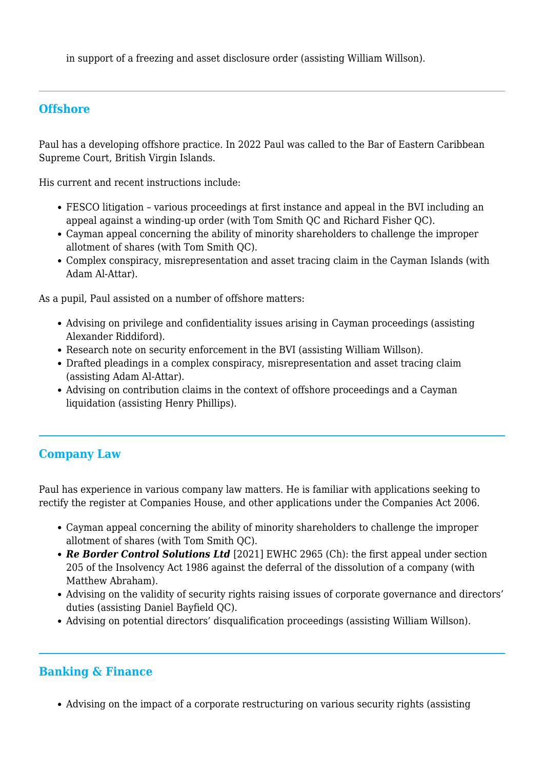in support of a freezing and asset disclosure order (assisting William Willson).

### **Offshore**

Paul has a developing offshore practice. In 2022 Paul was called to the Bar of Eastern Caribbean Supreme Court, British Virgin Islands.

His current and recent instructions include:

- FESCO litigation various proceedings at first instance and appeal in the BVI including an appeal against a winding-up order (with Tom Smith QC and Richard Fisher QC).
- Cayman appeal concerning the ability of minority shareholders to challenge the improper allotment of shares (with Tom Smith QC).
- Complex conspiracy, misrepresentation and asset tracing claim in the Cayman Islands (with Adam Al-Attar).

As a pupil, Paul assisted on a number of offshore matters:

- Advising on privilege and confidentiality issues arising in Cayman proceedings (assisting Alexander Riddiford).
- Research note on security enforcement in the BVI (assisting William Willson).
- Drafted pleadings in a complex conspiracy, misrepresentation and asset tracing claim (assisting Adam Al-Attar).
- Advising on contribution claims in the context of offshore proceedings and a Cayman liquidation (assisting Henry Phillips).

## **Company Law**

Paul has experience in various company law matters. He is familiar with applications seeking to rectify the register at Companies House, and other applications under the Companies Act 2006.

- Cayman appeal concerning the ability of minority shareholders to challenge the improper allotment of shares (with Tom Smith QC).
- *Re Border Control Solutions Ltd* [2021] EWHC 2965 (Ch): the first appeal under section 205 of the Insolvency Act 1986 against the deferral of the dissolution of a company (with Matthew Abraham).
- Advising on the validity of security rights raising issues of corporate governance and directors' duties (assisting Daniel Bayfield QC).
- Advising on potential directors' disqualification proceedings (assisting William Willson).

## **Banking & Finance**

Advising on the impact of a corporate restructuring on various security rights (assisting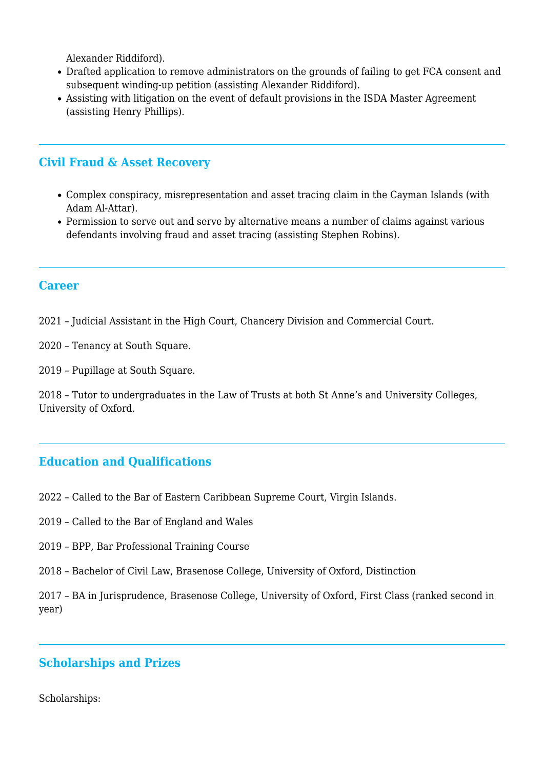Alexander Riddiford).

- Drafted application to remove administrators on the grounds of failing to get FCA consent and subsequent winding-up petition (assisting Alexander Riddiford).
- Assisting with litigation on the event of default provisions in the ISDA Master Agreement (assisting Henry Phillips).

#### **Civil Fraud & Asset Recovery**

- Complex conspiracy, misrepresentation and asset tracing claim in the Cayman Islands (with Adam Al-Attar).
- Permission to serve out and serve by alternative means a number of claims against various defendants involving fraud and asset tracing (assisting Stephen Robins).

#### **Career**

- 2021 Judicial Assistant in the High Court, Chancery Division and Commercial Court.
- 2020 Tenancy at South Square.
- 2019 Pupillage at South Square.

2018 – Tutor to undergraduates in the Law of Trusts at both St Anne's and University Colleges, University of Oxford.

#### **Education and Qualifications**

- 2022 Called to the Bar of Eastern Caribbean Supreme Court, Virgin Islands.
- 2019 Called to the Bar of England and Wales
- 2019 BPP, Bar Professional Training Course
- 2018 Bachelor of Civil Law, Brasenose College, University of Oxford, Distinction

2017 – BA in Jurisprudence, Brasenose College, University of Oxford, First Class (ranked second in year)

#### **Scholarships and Prizes**

Scholarships: